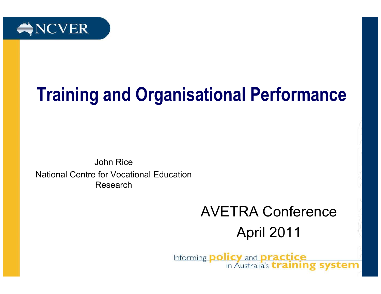

# Training and Organisational Performance

John Rice National Centre for Vocational Education Research

#### AVETRA ConferenceApril 2011

Informing **policy** and **practice**<br>in Australia's **training system**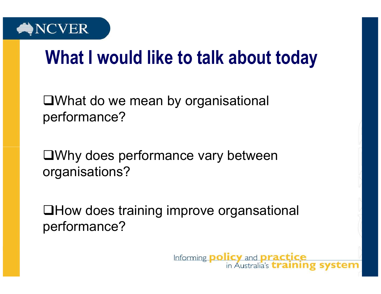

## What I would like to talk about today

What do we mean by organisational performance?

Why does performance vary between organisations?

How does training improve organsationalperformance?

> Informing **policy** and **practice** in Australia's *training* system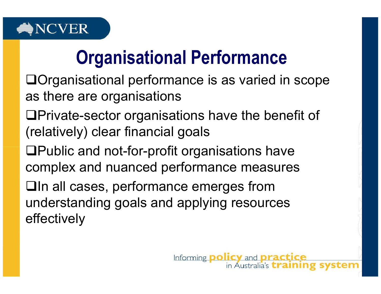

## Organisational Performance

- Organisational performance is as varied in scope as there are organisations
- Private-sector organisations have the benefit of (relatively) clear financial goals
- $\Box$ Public and not-for-profit organisations have complex and nuanced performance measures
- In all cases, performance emerges from understanding goals and applying resources effectively

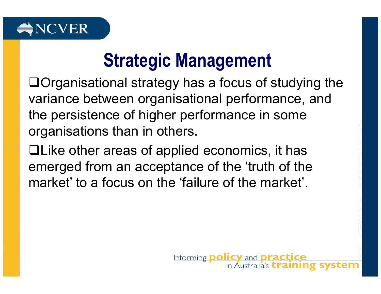

#### Strategic Management

Organisational strategy has a focus of studying thevariance between organisational performance, and the persistence of higher performance in some organisations than in others.

Like other areas of applied economics, it has emerged from an acceptance of the 'truth of the market' to a focus on the 'failure of the market'.

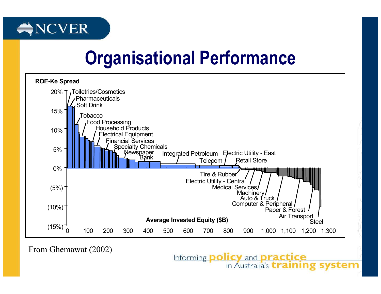

#### Organisational Performance



From Ghemawat (2002)

Informing **policy** and **practice**<br>in Australia's **training system**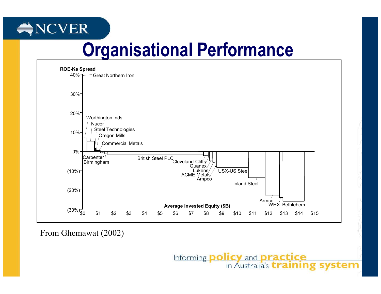#### **NCVER**

## Organisational Performance



From Ghemawat (2002)

Informing **policy** and **practice**<br>in Australia's **training system**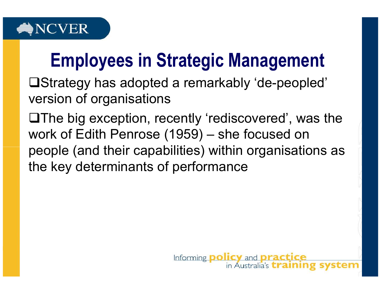

## Employees in Strategic Management

Strategy has adopted a remarkably 'de-peopled' version of organisations

 $\Box$  The big exception, recently 'rediscovered', was the work of Edith Penrose (1959) – she focused on people (and their capabilities) within organisations as the key determinants of performance

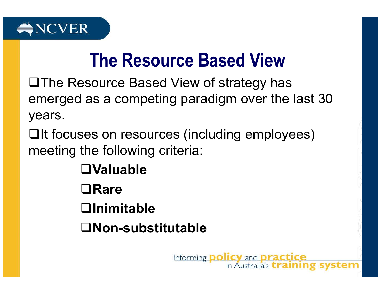

#### The Resource Based View

 $\Box$ The Resource Based View of strategy has emerged as a competing paradigm over the last 30 years.

**Qlt focuses on resources (including employees)** meeting the following criteria:

> Valuable**□Rare Olnimitable** Non-substitutable

> > Informing **policy** and **practice** in Australia's *training* system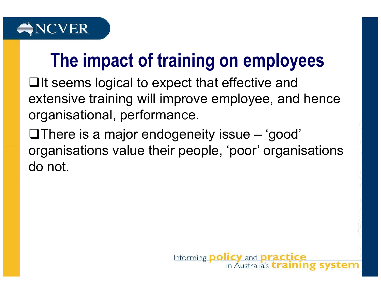

## The impact of training on employees

 $\Box$ It seems logical to expect that effective and extensive training will improve employee, and henceorganisational, performance.

 $\Box$  There is a major endogeneity issue  $-$  'good' organisations value their people, 'poor' organisations do not.

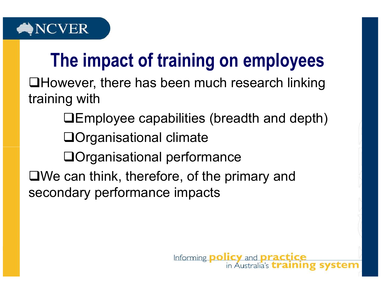

## The impact of training on employees

However, there has been much research linking training with

Employee capabilities (breadth and depth)

Organisational climate

Organisational performance

We can think, therefore, of the primary and secondary performance impacts

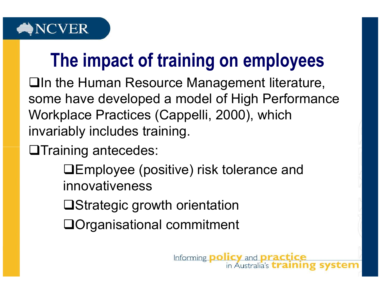

## The impact of training on employees

In the Human Resource Management literature, some have developed a model of High Performance Workplace Practices (Cappelli, 2000), which invariably includes training.

**OTraining antecedes:** 

Employee (positive) risk tolerance and innovativeness

Strategic growth orientation

Organisational commitment

Informing policy and practice in Australia's *training* sys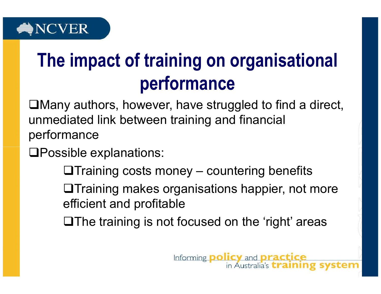

## The impact of training on organisational performance

Many authors, however, have struggled to find a direct, unmediated link between training and financial performance

Possible explanations:

 $\Box$ Training costs money – countering benefits

**OTraining makes organisations happier, not more** efficient and profitable

 $\Box$  The training is not focused on the 'right' areas

Informing policy and practice

in Australia's *training* sys<sup></sup>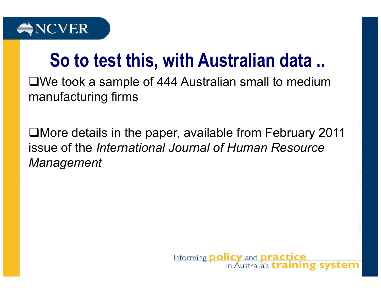

#### So to test this, with Australian data ..

We took a sample of 444 Australian small to medium manufacturing firms

More details in the paper, available from February 2011 issue of the International Journal of Human Resource Management

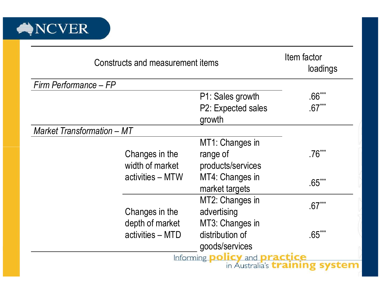

| Constructs and measurement items  |                                                       |                                             | Item factor<br>loadings |
|-----------------------------------|-------------------------------------------------------|---------------------------------------------|-------------------------|
| Firm Performance - FP             |                                                       |                                             |                         |
|                                   |                                                       | P1: Sales growth                            | 66***                   |
|                                   |                                                       | P2: Expected sales                          | $.67***$                |
|                                   |                                                       | growth                                      |                         |
| <b>Market Transformation - MT</b> |                                                       |                                             |                         |
|                                   |                                                       | MT1: Changes in                             |                         |
|                                   | Changes in the<br>width of market<br>activities - MTW | range of                                    | $.76***$                |
|                                   |                                                       | products/services                           |                         |
|                                   |                                                       | MT4: Changes in                             | $.65***$                |
|                                   |                                                       | market targets                              |                         |
|                                   |                                                       | MT2: Changes in                             | $67***$                 |
|                                   | Changes in the                                        | advertising                                 |                         |
|                                   | depth of market                                       | MT3: Changes in                             |                         |
|                                   | activities - MTD                                      | distribution of                             | $65***$                 |
|                                   |                                                       | goods/services                              |                         |
|                                   |                                                       | Informing <b>policy</b> and <b>practice</b> |                         |
|                                   |                                                       | in Australia's <b>training</b>              |                         |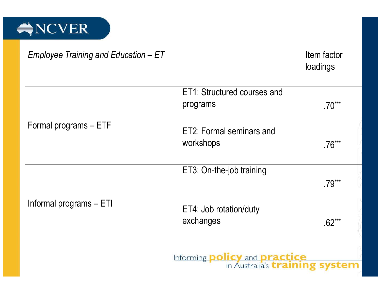

| Employee Training and Education - ET |                                                                                      | Item factor<br>loadings |
|--------------------------------------|--------------------------------------------------------------------------------------|-------------------------|
|                                      | ET1: Structured courses and<br>programs                                              | $70***$                 |
| Formal programs - ETF                | ET2: Formal seminars and<br>workshops                                                | 76***                   |
|                                      | ET3: On-the-job training                                                             |                         |
|                                      |                                                                                      | $79***$                 |
| Informal programs - ETI              | ET4: Job rotation/duty<br>exchanges                                                  | $.62***$                |
|                                      | Informing <b>policy</b> and <b>practice</b><br>in Australia's <i>training</i> system |                         |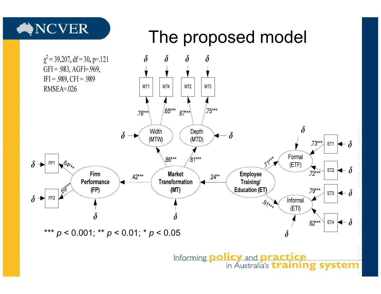

ET4  $\blacktriangleright$   $\delta$  $.62***$ \*\*\* p < 0.001; \*\* p < 0.01; \* p < 0.05 $\delta$ Informing policy and practice in Australia's *training* system

 $(ETI)$